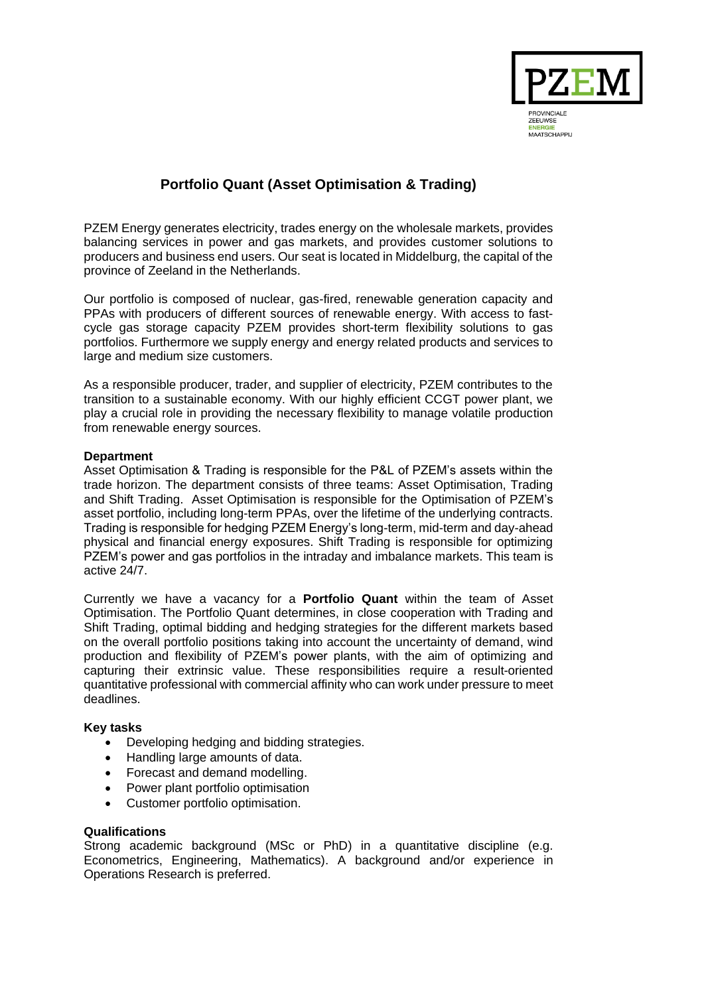

# **Portfolio Quant (Asset Optimisation & Trading)**

PZEM Energy generates electricity, trades energy on the wholesale markets, provides balancing services in power and gas markets, and provides customer solutions to producers and business end users. Our seat is located in Middelburg, the capital of the province of Zeeland in the Netherlands.

Our portfolio is composed of nuclear, gas-fired, renewable generation capacity and PPAs with producers of different sources of renewable energy. With access to fastcycle gas storage capacity PZEM provides short-term flexibility solutions to gas portfolios. Furthermore we supply energy and energy related products and services to large and medium size customers.

As a responsible producer, trader, and supplier of electricity, PZEM contributes to the transition to a sustainable economy. With our highly efficient CCGT power plant, we play a crucial role in providing the necessary flexibility to manage volatile production from renewable energy sources.

# **Department**

Asset Optimisation & Trading is responsible for the P&L of PZEM's assets within the trade horizon. The department consists of three teams: Asset Optimisation, Trading and Shift Trading. Asset Optimisation is responsible for the Optimisation of PZEM's asset portfolio, including long-term PPAs, over the lifetime of the underlying contracts. Trading is responsible for hedging PZEM Energy's long-term, mid-term and day-ahead physical and financial energy exposures. Shift Trading is responsible for optimizing PZEM's power and gas portfolios in the intraday and imbalance markets. This team is active 24/7.

Currently we have a vacancy for a **Portfolio Quant** within the team of Asset Optimisation. The Portfolio Quant determines, in close cooperation with Trading and Shift Trading, optimal bidding and hedging strategies for the different markets based on the overall portfolio positions taking into account the uncertainty of demand, wind production and flexibility of PZEM's power plants, with the aim of optimizing and capturing their extrinsic value. These responsibilities require a result-oriented quantitative professional with commercial affinity who can work under pressure to meet deadlines.

#### **Key tasks**

- Developing hedging and bidding strategies.
- Handling large amounts of data.
- Forecast and demand modelling.
- Power plant portfolio optimisation
- Customer portfolio optimisation.

#### **Qualifications**

Strong academic background (MSc or PhD) in a quantitative discipline (e.g. Econometrics, Engineering, Mathematics). A background and/or experience in Operations Research is preferred.